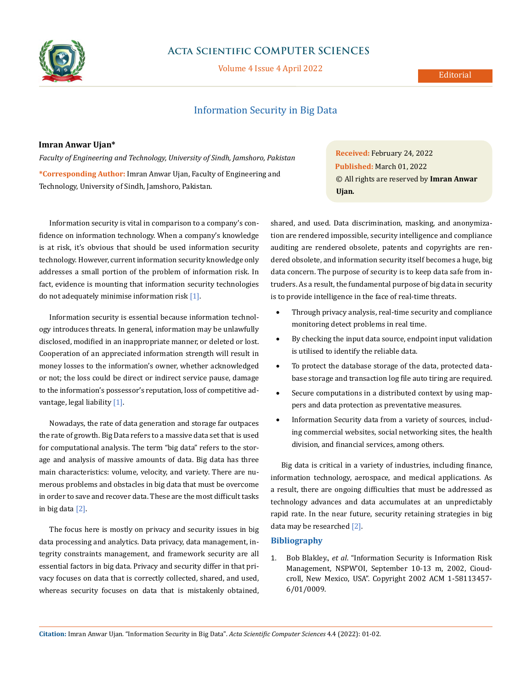

## **Acta Scientific COMPUTER SCIENCES**

Volume 4 Issue 4 April 2022

#### Editorial

### Information Security in Big Data

#### **Imran Anwar Ujan\***

*Faculty of Engineering and Technology, University of Sindh, Jamshoro, Pakistan* **\*Corresponding Author:** Imran Anwar Ujan, Faculty of Engineering and Technology, University of Sindh, Jamshoro, Pakistan.

Information security is vital in comparison to a company's confidence on information technology. When a company's knowledge is at risk, it's obvious that should be used information security technology. However, current information security knowledge only addresses a small portion of the problem of information risk. In fact, evidence is mounting that information security technologies do not adequately minimise information risk [1].

Information security is essential because information technology introduces threats. In general, information may be unlawfully disclosed, modified in an inappropriate manner, or deleted or lost. Cooperation of an appreciated information strength will result in money losses to the information's owner, whether acknowledged or not; the loss could be direct or indirect service pause, damage to the information's possessor's reputation, loss of competitive advantage, legal liability [1].

Nowadays, the rate of data generation and storage far outpaces the rate of growth. Big Data refers to a massive data set that is used for computational analysis. The term "big data" refers to the storage and analysis of massive amounts of data. Big data has three main characteristics: volume, velocity, and variety. There are numerous problems and obstacles in big data that must be overcome in order to save and recover data. These are the most difficult tasks in big data [2].

The focus here is mostly on privacy and security issues in big data processing and analytics. Data privacy, data management, integrity constraints management, and framework security are all essential factors in big data. Privacy and security differ in that privacy focuses on data that is correctly collected, shared, and used, whereas security focuses on data that is mistakenly obtained, **Received:** February 24, 2022 **Published:** March 01, 2022 © All rights are reserved by **Imran Anwar Ujan***.*

shared, and used. Data discrimination, masking, and anonymization are rendered impossible, security intelligence and compliance auditing are rendered obsolete, patents and copyrights are rendered obsolete, and information security itself becomes a huge, big data concern. The purpose of security is to keep data safe from intruders. As a result, the fundamental purpose of big data in security is to provide intelligence in the face of real-time threats.

- Through privacy analysis, real-time security and compliance monitoring detect problems in real time.
- • By checking the input data source, endpoint input validation is utilised to identify the reliable data.
- • To protect the database storage of the data, protected database storage and transaction log file auto tiring are required.
- Secure computations in a distributed context by using mappers and data protection as preventative measures.
- Information Security data from a variety of sources, including commercial websites, social networking sites, the health division, and financial services, among others.

Big data is critical in a variety of industries, including finance, information technology, aerospace, and medical applications. As a result, there are ongoing difficulties that must be addressed as technology advances and data accumulates at an unpredictably rapid rate. In the near future, security retaining strategies in big data may be researched [2].

### **Bibliography**

1. Bob Blakley., *et al*. "Information Security is Information Risk Management, NSPW'OI, September 10-13 m, 2002, Cioudcroll, New Mexico, USA". Copyright 2002 ACM 1-58113457- 6/01/0009.

**Citation:** Imran Anwar Ujan*.* "Information Security in Big Data". *Acta Scientific Computer Sciences* 4.4 (2022): 01-02.